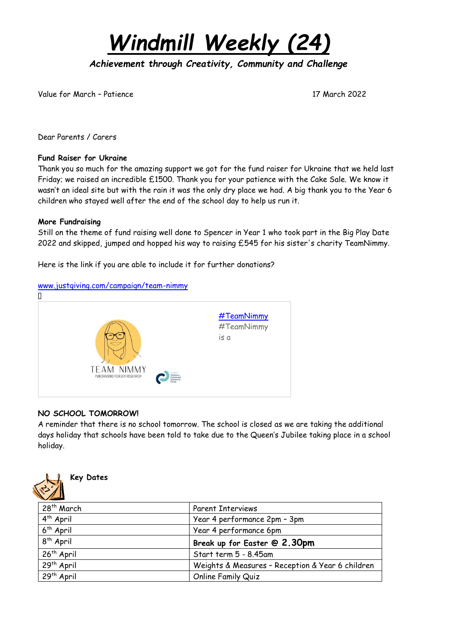*Windmill Weekly (24)*

*Achievement through Creativity, Community and Challenge* 

Value for March – Patience 17 March 2022

Dear Parents / Carers

#### **Fund Raiser for Ukraine**

Thank you so much for the amazing support we got for the fund raiser for Ukraine that we held last Friday; we raised an incredible £1500. Thank you for your patience with the Cake Sale. We know it wasn't an ideal site but with the rain it was the only dry place we had. A big thank you to the Year 6 children who stayed well after the end of the school day to help us run it.

### **More Fundraising**

Still on the theme of fund raising well done to Spencer in Year 1 who took part in the Big Play Date 2022 and skipped, jumped and hopped his way to raising £545 for his sister's charity TeamNimmy.

Here is the link if you are able to include it for further donations?

### [www.justgiving.com/campaign/team-nimmy](http://www.justgiving.com/campaign/team-nimmy)



# **NO SCHOOL TOMORROW!**

A reminder that there is no school tomorrow. The school is closed as we are taking the additional days holiday that schools have been told to take due to the Queen's Jubilee taking place in a school holiday.



| 28th March             | <b>Parent Interviews</b>                         |
|------------------------|--------------------------------------------------|
| $4th$ April            | Year 4 performance 2pm - 3pm                     |
| 6 <sup>th</sup> April  | Year 4 performance 6pm                           |
| 8 <sup>th</sup> April  | Break up for Easter @ 2.30pm                     |
| 26 <sup>th</sup> April | Start term 5 - 8.45am                            |
| 29 <sup>th</sup> April | Weights & Measures - Reception & Year 6 children |
| 29 <sup>th</sup> April | Online Family Quiz                               |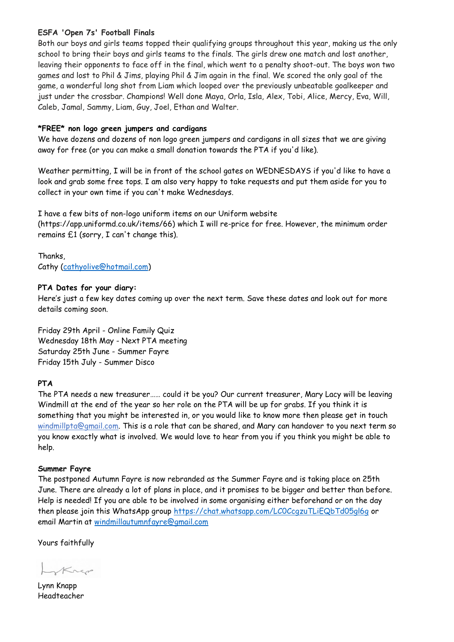### **ESFA 'Open 7s' Football Finals**

Both our boys and girls teams topped their qualifying groups throughout this year, making us the only school to bring their boys and girls teams to the finals. The girls drew one match and lost another, leaving their opponents to face off in the final, which went to a penalty shoot-out. The boys won two games and lost to Phil & Jims, playing Phil & Jim again in the final. We scored the only goal of the game, a wonderful long shot from Liam which looped over the previously unbeatable goalkeeper and just under the crossbar. Champions! Well done Maya, Orla, Isla, Alex, Tobi, Alice, Mercy, Eva, Will, Caleb, Jamal, Sammy, Liam, Guy, Joel, Ethan and Walter.

### **\*FREE\* non logo green jumpers and cardigans**

We have dozens and dozens of non logo green jumpers and cardigans in all sizes that we are giving away for free (or you can make a small donation towards the PTA if you'd like).

Weather permitting, I will be in front of the school gates on WEDNESDAYS if you'd like to have a look and grab some free tops. I am also very happy to take requests and put them aside for you to collect in your own time if you can't make Wednesdays.

I have a few bits of non-logo uniform items on our Uniform website

(https://app.uniformd.co.uk/items/66) which I will re-price for free. However, the minimum order remains £1 (sorry, I can't change this).

Thanks, Cathy [\(cathyolive@hotmail.com\)](mailto:cathyolive@hotmail.com)

### **PTA Dates for your diary:**

Here's just a few key dates coming up over the next term. Save these dates and look out for more details coming soon.

Friday 29th April - Online Family Quiz Wednesday 18th May - Next PTA meeting Saturday 25th June - Summer Fayre Friday 15th July - Summer Disco

# **PTA**

The PTA needs a new treasurer…… could it be you? Our current treasurer, Mary Lacy will be leaving Windmill at the end of the year so her role on the PTA will be up for grabs. If you think it is something that you might be interested in, or you would like to know more then please get in touch [windmillpta@gmail.com.](mailto:windmillpta@gmail.com) This is a role that can be shared, and Mary can handover to you next term so you know exactly what is involved. We would love to hear from you if you think you might be able to help.

# **Summer Fayre**

The postponed Autumn Fayre is now rebranded as the Summer Fayre and is taking place on 25th June. There are already a lot of plans in place, and it promises to be bigger and better than before. Help is needed! If you are able to be involved in some organising either beforehand or on the day then please join this WhatsApp group https://chat.whatsapp.com/LCOCcqzuTLiEQbTd05gl6q or email Martin at [windmillautumnfayre@gmail.com](mailto:windmillautumnfayre@gmail.com)

Yours faithfully

Krep

Lynn Knapp Headteacher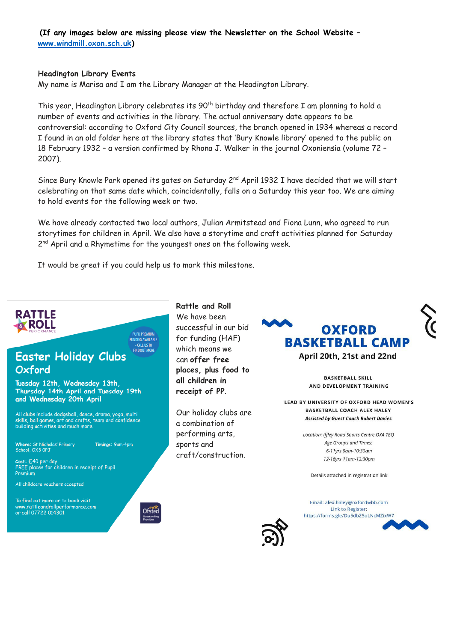**(If any images below are missing please view the Newsletter on the School Website – [www.windmill.oxon.sch.uk\)](http://www.windmill.oxon.sch.uk/)**

#### **Headington Library Events**

My name is Marisa and I am the Library Manager at the Headington Library.

This year, Headington Library celebrates its 90<sup>th</sup> birthday and therefore I am planning to hold a number of events and activities in the library. The actual anniversary date appears to be controversial: according to Oxford City Council sources, the branch opened in 1934 whereas a record I found in an old folder here at the library states that 'Bury Knowle library' opened to the public on 18 February 1932 – a version confirmed by Rhona J. Walker in the journal Oxoniensia (volume 72 – 2007).

Since Bury Knowle Park opened its gates on Saturday 2<sup>nd</sup> April 1932 I have decided that we will start celebrating on that same date which, coincidentally, falls on a Saturday this year too. We are aiming to hold events for the following week or two.

We have already contacted two local authors, Julian Armitstead and Fiona Lunn, who agreed to run storytimes for children in April. We also have a storytime and craft activities planned for Saturday 2<sup>nd</sup> April and a Rhymetime for the youngest ones on the following week.

It would be great if you could help us to mark this milestone.

**PUPIL PREMIUM FUNDING AVAILABLE** 



#### **FIND OUT MORE Easter Holiday Clubs** Oxford

Tuesday 12th, Wednesday 13th, Thursday 14th April and Tuesday 19th and Wednesday 20th April

All clubs include dodgeball, dance, drama, yoga, multi<br>skills, ball games, art and crafts, team and confidence<br>building activities and much more.

Where: St Nicholas' Primary<br>School, OX3 OPJ Timings: 9am-4pm

Cost: £40 per day<br>FREE places for children in receipt of Pupil Premium

All childcare vouchers accepted

To find out more or to book visit www.rattleandrollperformance.com<br>or call 07722 014301



**Rattle and Roll** We have been successful in our bid for funding (HAF) which means we can **offer free places, plus food to all children in receipt of PP**.

Our holiday clubs are a combination of performing arts, sports and craft/construction.



**RASKETRALL SKILL** AND DEVELOPMENT TRAINING

LEAD BY UNIVERSITY OF OXFORD HEAD WOMEN'S **BASKETBALL COACH ALEX HALEY Assisted by Guest Coach Robert Davies** 

> Location: Iffley Road Sports Centre OX4 1EQ Age Groups and Times: 6-11yrs 9am-10:30am 12-16yrs 11am-12:30pm

Details attached in registration link

Email: alex.haley@oxfordwbb.com Link to Register: https://forms.gle/Du5dbZ5oLNcMZixW7